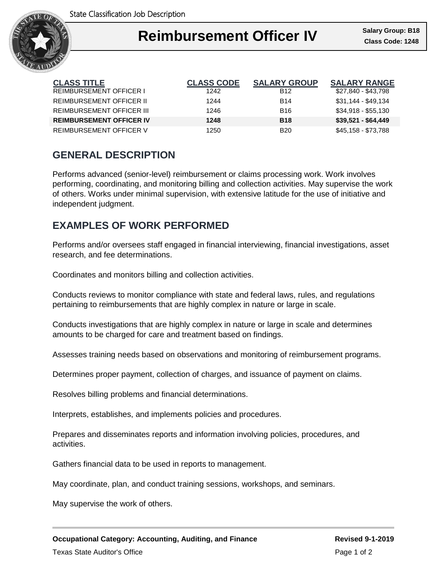

### I **Reimbursement Officer IV**

| <b>CLASS TITLE</b>               | <b>CLASS CODE</b> | <b>SALARY GROUP</b> | <b>SALARY RANGE</b> |
|----------------------------------|-------------------|---------------------|---------------------|
| <b>REIMBURSEMENT OFFICER I</b>   | 1242              | <b>B12</b>          | \$27,840 - \$43,798 |
| <b>REIMBURSEMENT OFFICER II</b>  | 1244              | <b>B14</b>          | \$31,144 - \$49,134 |
| <b>REIMBURSEMENT OFFICER III</b> | 1246              | <b>B16</b>          | $$34,918 - $55,130$ |
| <b>REIMBURSEMENT OFFICER IV</b>  | 1248              | <b>B18</b>          | $$39,521 - $64,449$ |
| <b>REIMBURSEMENT OFFICER V</b>   | 1250              | <b>B20</b>          | \$45,158 - \$73,788 |

# **GENERAL DESCRIPTION**

Performs advanced (senior-level) reimbursement or claims processing work. Work involves performing, coordinating, and monitoring billing and collection activities. May supervise the work of others. Works under minimal supervision, with extensive latitude for the use of initiative and independent judgment.

# **EXAMPLES OF WORK PERFORMED**

Performs and/or oversees staff engaged in financial interviewing, financial investigations, asset research, and fee determinations.

Coordinates and monitors billing and collection activities.

Conducts reviews to monitor compliance with state and federal laws, rules, and regulations pertaining to reimbursements that are highly complex in nature or large in scale.

Conducts investigations that are highly complex in nature or large in scale and determines amounts to be charged for care and treatment based on findings.

Assesses training needs based on observations and monitoring of reimbursement programs.

Determines proper payment, collection of charges, and issuance of payment on claims.

Resolves billing problems and financial determinations.

Interprets, establishes, and implements policies and procedures.

Prepares and disseminates reports and information involving policies, procedures, and activities.

Gathers financial data to be used in reports to management.

May coordinate, plan, and conduct training sessions, workshops, and seminars.

May supervise the work of others.